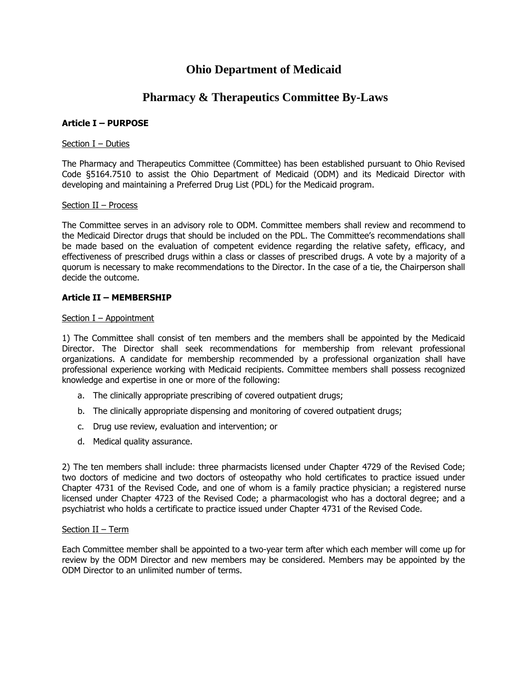## **Ohio Department of Medicaid**

# **Pharmacy & Therapeutics Committee By-Laws**

## **Article I – PURPOSE**

#### Section I – Duties

The Pharmacy and Therapeutics Committee (Committee) has been established pursuant to Ohio Revised Code §5164.7510 to assist the Ohio Department of Medicaid (ODM) and its Medicaid Director with developing and maintaining a Preferred Drug List (PDL) for the Medicaid program.

#### Section II – Process

The Committee serves in an advisory role to ODM. Committee members shall review and recommend to the Medicaid Director drugs that should be included on the PDL. The Committee's recommendations shall be made based on the evaluation of competent evidence regarding the relative safety, efficacy, and effectiveness of prescribed drugs within a class or classes of prescribed drugs. A vote by a majority of a quorum is necessary to make recommendations to the Director. In the case of a tie, the Chairperson shall decide the outcome.

## **Article II – MEMBERSHIP**

#### Section I – Appointment

1) The Committee shall consist of ten members and the members shall be appointed by the Medicaid Director. The Director shall seek recommendations for membership from relevant professional organizations. A candidate for membership recommended by a professional organization shall have professional experience working with Medicaid recipients. Committee members shall possess recognized knowledge and expertise in one or more of the following:

- a. The clinically appropriate prescribing of covered outpatient drugs;
- b. The clinically appropriate dispensing and monitoring of covered outpatient drugs;
- c. Drug use review, evaluation and intervention; or
- d. Medical quality assurance.

2) The ten members shall include: three pharmacists licensed under Chapter 4729 of the Revised Code; two doctors of medicine and two doctors of osteopathy who hold certificates to practice issued under Chapter 4731 of the Revised Code, and one of whom is a family practice physician; a registered nurse licensed under Chapter 4723 of the Revised Code; a pharmacologist who has a doctoral degree; and a psychiatrist who holds a certificate to practice issued under Chapter 4731 of the Revised Code.

#### Section II – Term

Each Committee member shall be appointed to a two-year term after which each member will come up for review by the ODM Director and new members may be considered. Members may be appointed by the ODM Director to an unlimited number of terms.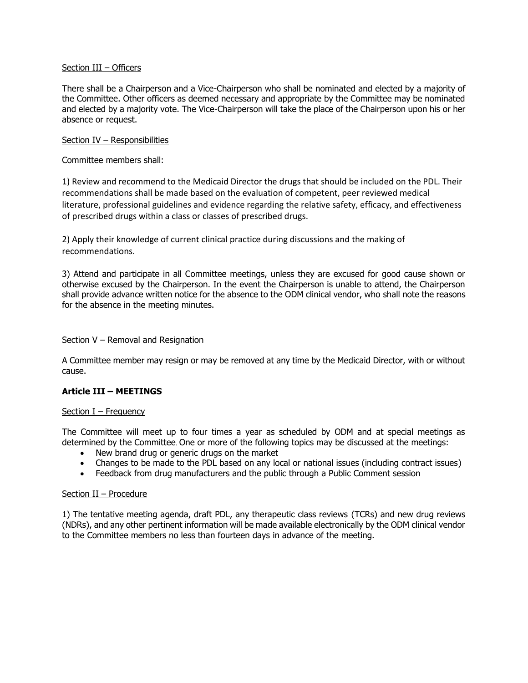#### Section III – Officers

There shall be a Chairperson and a Vice-Chairperson who shall be nominated and elected by a majority of the Committee. Other officers as deemed necessary and appropriate by the Committee may be nominated and elected by a majority vote. The Vice-Chairperson will take the place of the Chairperson upon his or her absence or request.

#### Section IV – Responsibilities

Committee members shall:

1) Review and recommend to the Medicaid Director the drugs that should be included on the PDL. Their recommendations shall be made based on the evaluation of competent, peer reviewed medical literature, professional guidelines and evidence regarding the relative safety, efficacy, and effectiveness of prescribed drugs within a class or classes of prescribed drugs.

2) Apply their knowledge of current clinical practice during discussions and the making of recommendations.

3) Attend and participate in all Committee meetings, unless they are excused for good cause shown or otherwise excused by the Chairperson. In the event the Chairperson is unable to attend, the Chairperson shall provide advance written notice for the absence to the ODM clinical vendor, who shall note the reasons for the absence in the meeting minutes.

#### Section V – Removal and Resignation

A Committee member may resign or may be removed at any time by the Medicaid Director, with or without cause.

## **Article III – MEETINGS**

#### Section I – Frequency

The Committee will meet up to four times a year as scheduled by ODM and at special meetings as determined by the Committee. One or more of the following topics may be discussed at the meetings:

- New brand drug or generic drugs on the market
- Changes to be made to the PDL based on any local or national issues (including contract issues)
- Feedback from drug manufacturers and the public through a Public Comment session

#### Section II – Procedure

1) The tentative meeting agenda, draft PDL, any therapeutic class reviews (TCRs) and new drug reviews (NDRs), and any other pertinent information will be made available electronically by the ODM clinical vendor to the Committee members no less than fourteen days in advance of the meeting.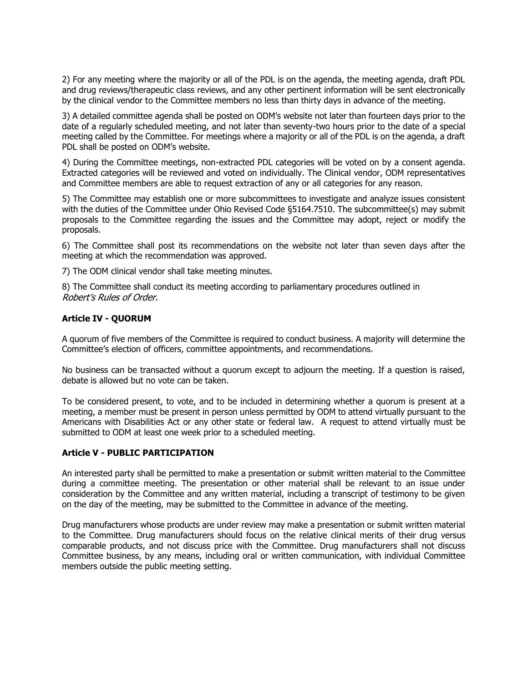2) For any meeting where the majority or all of the PDL is on the agenda, the meeting agenda, draft PDL and drug reviews/therapeutic class reviews, and any other pertinent information will be sent electronically by the clinical vendor to the Committee members no less than thirty days in advance of the meeting.

3) A detailed committee agenda shall be posted on ODM's website not later than fourteen days prior to the date of a regularly scheduled meeting, and not later than seventy-two hours prior to the date of a special meeting called by the Committee. For meetings where a majority or all of the PDL is on the agenda, a draft PDL shall be posted on ODM's website.

4) During the Committee meetings, non-extracted PDL categories will be voted on by a consent agenda. Extracted categories will be reviewed and voted on individually. The Clinical vendor, ODM representatives and Committee members are able to request extraction of any or all categories for any reason.

5) The Committee may establish one or more subcommittees to investigate and analyze issues consistent with the duties of the Committee under Ohio Revised Code §5164.7510. The subcommittee(s) may submit proposals to the Committee regarding the issues and the Committee may adopt, reject or modify the proposals.

6) The Committee shall post its recommendations on the website not later than seven days after the meeting at which the recommendation was approved.

7) The ODM clinical vendor shall take meeting minutes.

8) The Committee shall conduct its meeting according to parliamentary procedures outlined in Robert's Rules of Order.

## **Article IV - QUORUM**

A quorum of five members of the Committee is required to conduct business. A majority will determine the Committee's election of officers, committee appointments, and recommendations.

No business can be transacted without a quorum except to adjourn the meeting. If a question is raised, debate is allowed but no vote can be taken.

To be considered present, to vote, and to be included in determining whether a quorum is present at a meeting, a member must be present in person unless permitted by ODM to attend virtually pursuant to the Americans with Disabilities Act or any other state or federal law. A request to attend virtually must be submitted to ODM at least one week prior to a scheduled meeting.

## **Article V - PUBLIC PARTICIPATION**

An interested party shall be permitted to make a presentation or submit written material to the Committee during a committee meeting. The presentation or other material shall be relevant to an issue under consideration by the Committee and any written material, including a transcript of testimony to be given on the day of the meeting, may be submitted to the Committee in advance of the meeting.

Drug manufacturers whose products are under review may make a presentation or submit written material to the Committee. Drug manufacturers should focus on the relative clinical merits of their drug versus comparable products, and not discuss price with the Committee. Drug manufacturers shall not discuss Committee business, by any means, including oral or written communication, with individual Committee members outside the public meeting setting.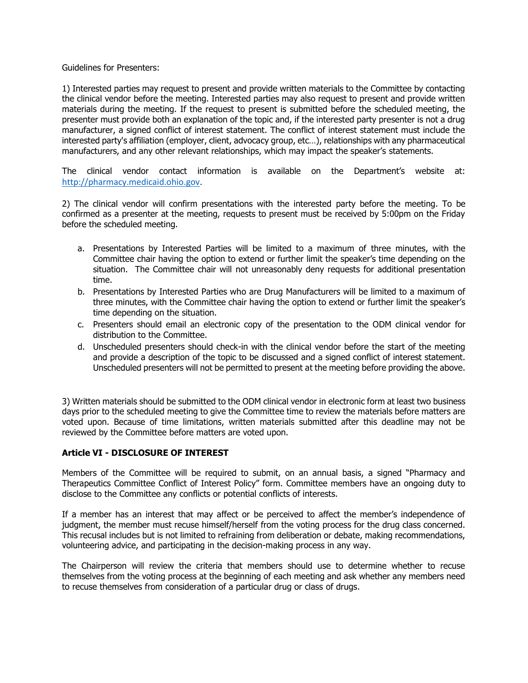Guidelines for Presenters:

1) Interested parties may request to present and provide written materials to the Committee by contacting the clinical vendor before the meeting. Interested parties may also request to present and provide written materials during the meeting. If the request to present is submitted before the scheduled meeting, the presenter must provide both an explanation of the topic and, if the interested party presenter is not a drug manufacturer, a signed conflict of interest statement. The conflict of interest statement must include the interested party's affiliation (employer, client, advocacy group, etc…), relationships with any pharmaceutical manufacturers, and any other relevant relationships, which may impact the speaker's statements.

The clinical vendor contact information is available on the Department's website at: [http://pharmacy.medicaid.ohio.gov.](http://pharmacy.medicaid.ohio.gov/)

2) The clinical vendor will confirm presentations with the interested party before the meeting. To be confirmed as a presenter at the meeting, requests to present must be received by 5:00pm on the Friday before the scheduled meeting.

- a. Presentations by Interested Parties will be limited to a maximum of three minutes, with the Committee chair having the option to extend or further limit the speaker's time depending on the situation. The Committee chair will not unreasonably deny requests for additional presentation time.
- b. Presentations by Interested Parties who are Drug Manufacturers will be limited to a maximum of three minutes, with the Committee chair having the option to extend or further limit the speaker's time depending on the situation.
- c. Presenters should email an electronic copy of the presentation to the ODM clinical vendor for distribution to the Committee.
- d. Unscheduled presenters should check-in with the clinical vendor before the start of the meeting and provide a description of the topic to be discussed and a signed conflict of interest statement. Unscheduled presenters will not be permitted to present at the meeting before providing the above.

3) Written materials should be submitted to the ODM clinical vendor in electronic form at least two business days prior to the scheduled meeting to give the Committee time to review the materials before matters are voted upon. Because of time limitations, written materials submitted after this deadline may not be reviewed by the Committee before matters are voted upon.

## **Article VI - DISCLOSURE OF INTEREST**

Members of the Committee will be required to submit, on an annual basis, a signed "Pharmacy and Therapeutics Committee Conflict of Interest Policy" form. Committee members have an ongoing duty to disclose to the Committee any conflicts or potential conflicts of interests.

If a member has an interest that may affect or be perceived to affect the member's independence of judgment, the member must recuse himself/herself from the voting process for the drug class concerned. This recusal includes but is not limited to refraining from deliberation or debate, making recommendations, volunteering advice, and participating in the decision-making process in any way.

The Chairperson will review the criteria that members should use to determine whether to recuse themselves from the voting process at the beginning of each meeting and ask whether any members need to recuse themselves from consideration of a particular drug or class of drugs.